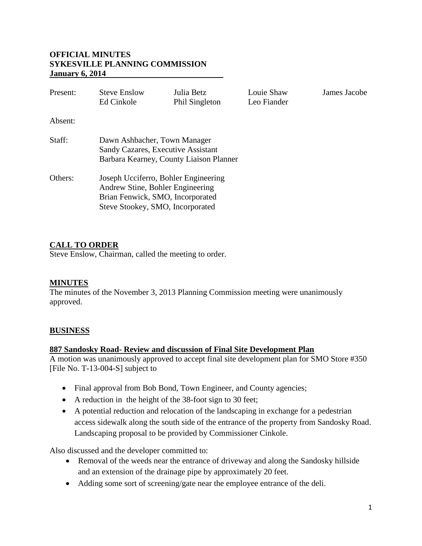# **OFFICIAL MINUTES SYKESVILLE PLANNING COMMISSION January 6, 2014**

| Present: | <b>Steve Enslow</b><br>Ed Cinkole                                                                                                                | Julia Betz<br>Phil Singleton | Louie Shaw<br>Leo Fiander | James Jacobe |
|----------|--------------------------------------------------------------------------------------------------------------------------------------------------|------------------------------|---------------------------|--------------|
| Absent:  |                                                                                                                                                  |                              |                           |              |
| Staff:   | Dawn Ashbacher, Town Manager<br>Sandy Cazares, Executive Assistant<br>Barbara Kearney, County Liaison Planner                                    |                              |                           |              |
| Others:  | Joseph Ucciferro, Bohler Engineering<br>Andrew Stine, Bohler Engineering<br>Brian Fenwick, SMO, Incorporated<br>Steve Stookey, SMO, Incorporated |                              |                           |              |

# **CALL TO ORDER**

Steve Enslow, Chairman, called the meeting to order.

# **MINUTES**

The minutes of the November 3, 2013 Planning Commission meeting were unanimously approved.

# **BUSINESS**

#### **887 Sandosky Road- Review and discussion of Final Site Development Plan**

A motion was unanimously approved to accept final site development plan for SMO Store #350 [File No. T-13-004-S] subject to

- Final approval from Bob Bond, Town Engineer, and County agencies;
- A reduction in the height of the 38-foot sign to 30 feet;
- A potential reduction and relocation of the landscaping in exchange for a pedestrian access sidewalk along the south side of the entrance of the property from Sandosky Road. Landscaping proposal to be provided by Commissioner Cinkole.

Also discussed and the developer committed to:

- Removal of the weeds near the entrance of driveway and along the Sandosky hillside and an extension of the drainage pipe by approximately 20 feet.
- Adding some sort of screening/gate near the employee entrance of the deli.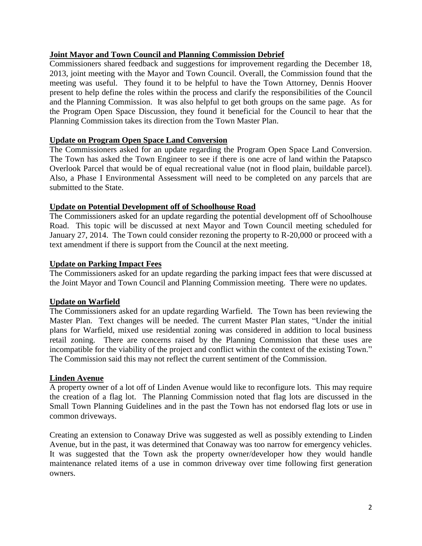# **Joint Mayor and Town Council and Planning Commission Debrief**

Commissioners shared feedback and suggestions for improvement regarding the December 18, 2013, joint meeting with the Mayor and Town Council. Overall, the Commission found that the meeting was useful. They found it to be helpful to have the Town Attorney, Dennis Hoover present to help define the roles within the process and clarify the responsibilities of the Council and the Planning Commission. It was also helpful to get both groups on the same page. As for the Program Open Space Discussion, they found it beneficial for the Council to hear that the Planning Commission takes its direction from the Town Master Plan.

#### **Update on Program Open Space Land Conversion**

The Commissioners asked for an update regarding the Program Open Space Land Conversion. The Town has asked the Town Engineer to see if there is one acre of land within the Patapsco Overlook Parcel that would be of equal recreational value (not in flood plain, buildable parcel). Also, a Phase I Environmental Assessment will need to be completed on any parcels that are submitted to the State.

#### **Update on Potential Development off of Schoolhouse Road**

The Commissioners asked for an update regarding the potential development off of Schoolhouse Road. This topic will be discussed at next Mayor and Town Council meeting scheduled for January 27, 2014. The Town could consider rezoning the property to R-20,000 or proceed with a text amendment if there is support from the Council at the next meeting.

#### **Update on Parking Impact Fees**

The Commissioners asked for an update regarding the parking impact fees that were discussed at the Joint Mayor and Town Council and Planning Commission meeting. There were no updates.

#### **Update on Warfield**

The Commissioners asked for an update regarding Warfield. The Town has been reviewing the Master Plan. Text changes will be needed. The current Master Plan states, "Under the initial plans for Warfield, mixed use residential zoning was considered in addition to local business retail zoning. There are concerns raised by the Planning Commission that these uses are incompatible for the viability of the project and conflict within the context of the existing Town." The Commission said this may not reflect the current sentiment of the Commission.

#### **Linden Avenue**

A property owner of a lot off of Linden Avenue would like to reconfigure lots. This may require the creation of a flag lot. The Planning Commission noted that flag lots are discussed in the Small Town Planning Guidelines and in the past the Town has not endorsed flag lots or use in common driveways.

Creating an extension to Conaway Drive was suggested as well as possibly extending to Linden Avenue, but in the past, it was determined that Conaway was too narrow for emergency vehicles. It was suggested that the Town ask the property owner/developer how they would handle maintenance related items of a use in common driveway over time following first generation owners.